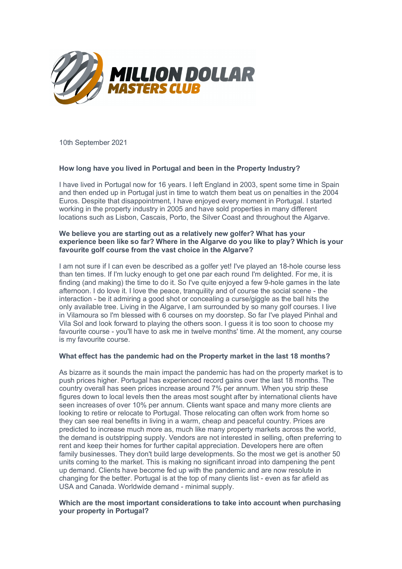

10th September 2021

# **How long have you lived in Portugal and been in the Property Industry?**

I have lived in Portugal now for 16 years. I left England in 2003, spent some time in Spain and then ended up in Portugal just in time to watch them beat us on penalties in the 2004 Euros. Despite that disappointment, I have enjoyed every moment in Portugal. I started working in the property industry in 2005 and have sold properties in many different locations such as Lisbon, Cascais, Porto, the Silver Coast and throughout the Algarve.

# **We believe you are starting out as a relatively new golfer? What has your experience been like so far? Where in the Algarve do you like to play? Which is your favourite golf course from the vast choice in the Algarve?**

I am not sure if I can even be described as a golfer yet! I've played an 18-hole course less than ten times. If I'm lucky enough to get one par each round I'm delighted. For me, it is finding (and making) the time to do it. So I've quite enjoyed a few 9-hole games in the late afternoon. I do love it. I love the peace, tranquility and of course the social scene - the interaction - be it admiring a good shot or concealing a curse/giggle as the ball hits the only available tree. Living in the Algarve, I am surrounded by so many golf courses. I live in Vilamoura so I'm blessed with 6 courses on my doorstep. So far I've played Pinhal and Vila Sol and look forward to playing the others soon. I guess it is too soon to choose my favourite course - you'll have to ask me in twelve months' time. At the moment, any course is my favourite course.

### **What effect has the pandemic had on the Property market in the last 18 months?**

As bizarre as it sounds the main impact the pandemic has had on the property market is to push prices higher. Portugal has experienced record gains over the last 18 months. The country overall has seen prices increase around 7% per annum. When you strip these figures down to local levels then the areas most sought after by international clients have seen increases of over 10% per annum. Clients want space and many more clients are looking to retire or relocate to Portugal. Those relocating can often work from home so they can see real benefits in living in a warm, cheap and peaceful country. Prices are predicted to increase much more as, much like many property markets across the world, the demand is outstripping supply. Vendors are not interested in selling, often preferring to rent and keep their homes for further capital appreciation. Developers here are often family businesses. They don't build large developments. So the most we get is another 50 units coming to the market. This is making no significant inroad into dampening the pent up demand. Clients have become fed up with the pandemic and are now resolute in changing for the better. Portugal is at the top of many clients list - even as far afield as USA and Canada. Worldwide demand - minimal supply.

## **Which are the most important considerations to take into account when purchasing your property in Portugal?**